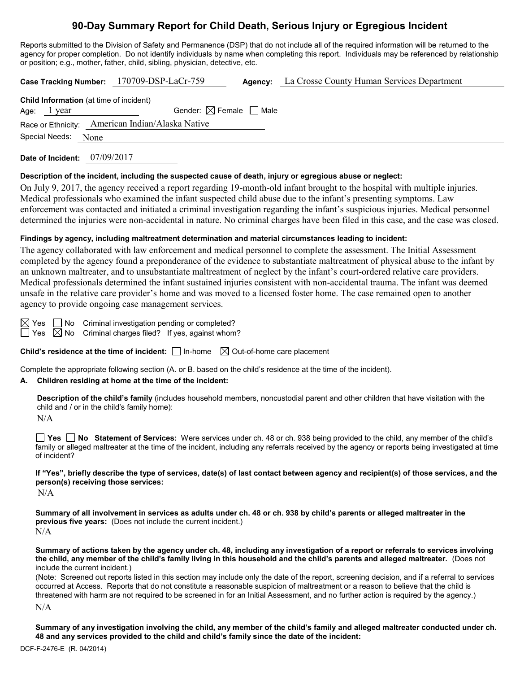# **90-Day Summary Report for Child Death, Serious Injury or Egregious Incident**

Reports submitted to the Division of Safety and Permanence (DSP) that do not include all of the required information will be returned to the agency for proper completion. Do not identify individuals by name when completing this report. Individuals may be referenced by relationship or position; e.g., mother, father, child, sibling, physician, detective, etc.

|                                                | Case Tracking Number: 170709-DSP-LaCr-759        | <b>Agency:</b> La Crosse County Human Services Department |
|------------------------------------------------|--------------------------------------------------|-----------------------------------------------------------|
| <b>Child Information</b> (at time of incident) |                                                  |                                                           |
| Age: 1 year                                    | Gender: $\boxtimes$ Female $\Box$ Male           |                                                           |
|                                                | Race or Ethnicity: American Indian/Alaska Native |                                                           |
| Special Needs:<br>None                         |                                                  |                                                           |
|                                                |                                                  |                                                           |

**Date of Incident:** 07/09/2017

#### **Description of the incident, including the suspected cause of death, injury or egregious abuse or neglect:**

On July 9, 2017, the agency received a report regarding 19-month-old infant brought to the hospital with multiple injuries. Medical professionals who examined the infant suspected child abuse due to the infant's presenting symptoms. Law enforcement was contacted and initiated a criminal investigation regarding the infant's suspicious injuries. Medical personnel determined the injuries were non-accidental in nature. No criminal charges have been filed in this case, and the case was closed.

#### **Findings by agency, including maltreatment determination and material circumstances leading to incident:**

The agency collaborated with law enforcement and medical personnel to complete the assessment. The Initial Assessment completed by the agency found a preponderance of the evidence to substantiate maltreatment of physical abuse to the infant by an unknown maltreater, and to unsubstantiate maltreatment of neglect by the infant's court-ordered relative care providers. Medical professionals determined the infant sustained injuries consistent with non-accidental trauma. The infant was deemed unsafe in the relative care provider's home and was moved to a licensed foster home. The case remained open to another agency to provide ongoing case management services.

 $\boxtimes$  Yes  $\Box$  No Criminal investigation pending or completed?

 $\Box$  Yes  $\boxtimes$  No Criminal charges filed? If yes, against whom?

**Child's residence at the time of incident:** □ In-home  $\boxtimes$  Out-of-home care placement

Complete the appropriate following section (A. or B. based on the child's residence at the time of the incident).

## **A. Children residing at home at the time of the incident:**

**Description of the child's family** (includes household members, noncustodial parent and other children that have visitation with the child and / or in the child's family home):

N/A

**Yes No Statement of Services:** Were services under ch. 48 or ch. 938 being provided to the child, any member of the child's family or alleged maltreater at the time of the incident, including any referrals received by the agency or reports being investigated at time of incident?

**If "Yes", briefly describe the type of services, date(s) of last contact between agency and recipient(s) of those services, and the person(s) receiving those services:**

 $N/A$ 

**Summary of all involvement in services as adults under ch. 48 or ch. 938 by child's parents or alleged maltreater in the previous five years:** (Does not include the current incident.) N/A

**Summary of actions taken by the agency under ch. 48, including any investigation of a report or referrals to services involving the child, any member of the child's family living in this household and the child's parents and alleged maltreater.** (Does not include the current incident.)

(Note: Screened out reports listed in this section may include only the date of the report, screening decision, and if a referral to services occurred at Access. Reports that do not constitute a reasonable suspicion of maltreatment or a reason to believe that the child is threatened with harm are not required to be screened in for an Initial Assessment, and no further action is required by the agency.)

N/A

**Summary of any investigation involving the child, any member of the child's family and alleged maltreater conducted under ch. 48 and any services provided to the child and child's family since the date of the incident:**